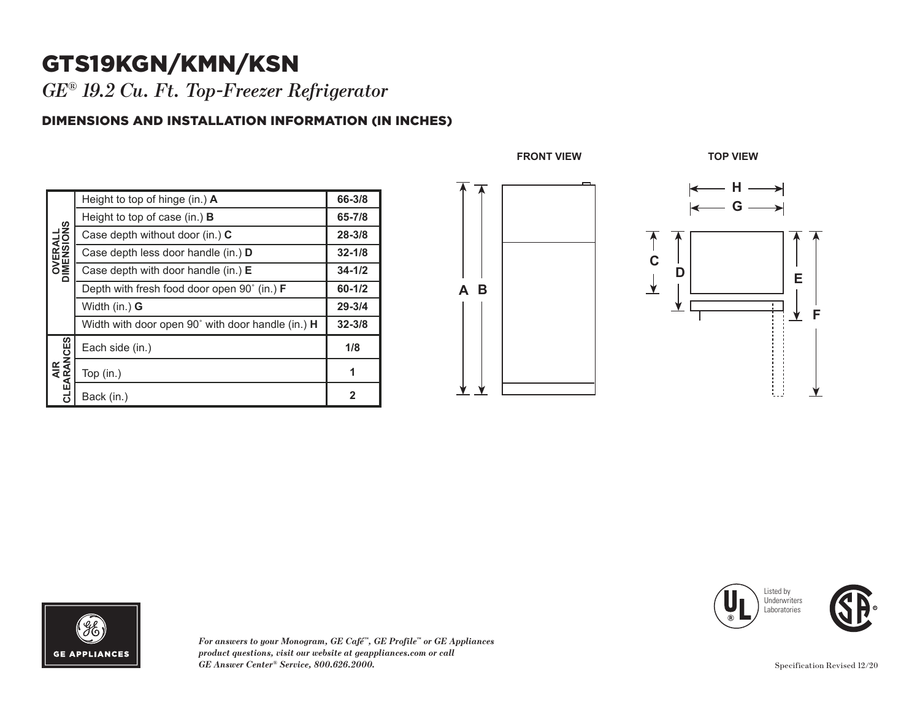## GTS19KGN/KMN/KSN

*GE® 19.2 Cu. Ft. Top-Freezer Refrigerator* 

## DIMENSIONS AND INSTALLATION INFORMATION (IN INCHES)

| <b>OVERALL</b><br>DIMENSIONS | Height to top of hinge (in.) $\bm{A}$             | 66-3/8      |
|------------------------------|---------------------------------------------------|-------------|
|                              | Height to top of case (in.) $\bf{B}$              | 65-7/8      |
|                              | Case depth without door (in.) C                   | $28 - 3/8$  |
|                              | Case depth less door handle (in.) <b>D</b>        | $32 - 1/8$  |
|                              | Case depth with door handle (in.) $E$             | $34 - 1/2$  |
|                              | Depth with fresh food door open 90° (in.) F       | $60 - 1/2$  |
|                              | Width (in.) <b>G</b>                              | $29 - 3/4$  |
|                              | Width with door open 90° with door handle (in.) H | $32 - 3/8$  |
| AIR<br>CLEARANCES            | Each side (in.)                                   | 1/8         |
|                              | Top $(in.)$                                       | 1           |
|                              | Back (in.)                                        | $\mathbf 2$ |









*For answers to your Monogram, GE Café™, GE Profile™ or GE Appliances product questions, visit our website at geappliances.com or call GE Answer Center® Service, 800.626.2000.*